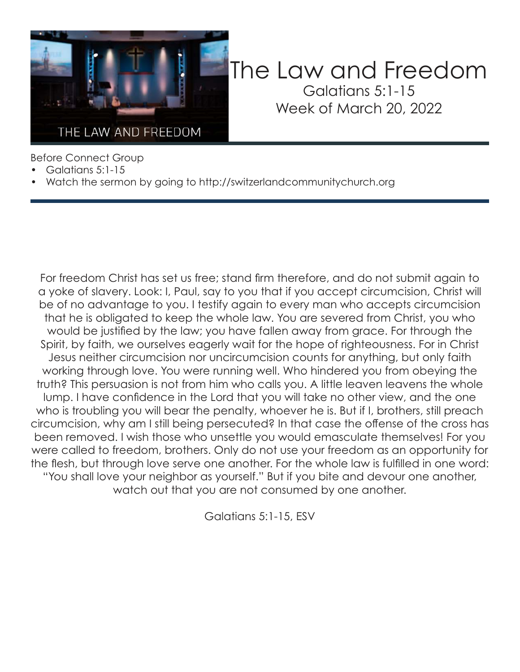

### The Law and Freedom Galatians 5:1-15 Week of March 20, 2022

Before Connect Group

- Galatians 5:1-15
- Watch the sermon by going to http://switzerlandcommunitychurch.org

For freedom Christ has set us free; stand firm therefore, and do not submit again to a yoke of slavery. Look: I, Paul, say to you that if you accept circumcision, Christ will be of no advantage to you. I testify again to every man who accepts circumcision that he is obligated to keep the whole law. You are severed from Christ, you who would be justified by the law; you have fallen away from grace. For through the Spirit, by faith, we ourselves eagerly wait for the hope of righteousness. For in Christ Jesus neither circumcision nor uncircumcision counts for anything, but only faith working through love. You were running well. Who hindered you from obeying the truth? This persuasion is not from him who calls you. A little leaven leavens the whole lump. I have confidence in the Lord that you will take no other view, and the one who is troubling you will bear the penalty, whoever he is. But if I, brothers, still preach circumcision, why am I still being persecuted? In that case the offense of the cross has been removed. I wish those who unsettle you would emasculate themselves! For you were called to freedom, brothers. Only do not use your freedom as an opportunity for the flesh, but through love serve one another. For the whole law is fulfilled in one word: "You shall love your neighbor as yourself." But if you bite and devour one another, watch out that you are not consumed by one another.

Galatians 5:1-15, ESV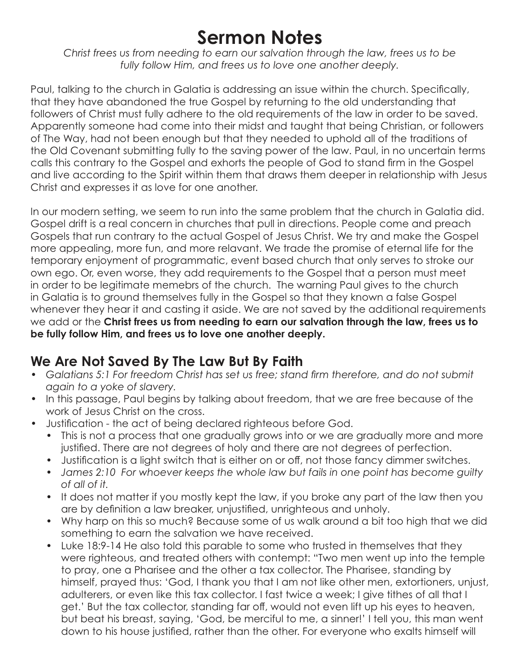## **Sermon Notes**

*Christ frees us from needing to earn our salvation through the law, frees us to be fully follow Him, and frees us to love one another deeply.*

Paul, talking to the church in Galatia is addressing an issue within the church. Specifically, that they have abandoned the true Gospel by returning to the old understanding that followers of Christ must fully adhere to the old requirements of the law in order to be saved. Apparently someone had come into their midst and taught that being Christian, or followers of The Way, had not been enough but that they needed to uphold all of the traditions of the Old Covenant submitting fully to the saving power of the law. Paul, in no uncertain terms calls this contrary to the Gospel and exhorts the people of God to stand firm in the Gospel and live according to the Spirit within them that draws them deeper in relationship with Jesus Christ and expresses it as love for one another.

In our modern setting, we seem to run into the same problem that the church in Galatia did. Gospel drift is a real concern in churches that pull in directions. People come and preach Gospels that run contrary to the actual Gospel of Jesus Christ. We try and make the Gospel more appealing, more fun, and more relavant. We trade the promise of eternal life for the temporary enjoyment of programmatic, event based church that only serves to stroke our own ego. Or, even worse, they add requirements to the Gospel that a person must meet in order to be legitimate memebrs of the church. The warning Paul gives to the church in Galatia is to ground themselves fully in the Gospel so that they known a false Gospel whenever they hear it and casting it aside. We are not saved by the additional requirements we add or the **Christ frees us from needing to earn our salvation through the law, frees us to be fully follow Him, and frees us to love one another deeply.** 

#### **We Are Not Saved By The Law But By Faith**

- Galatians 5:1 For freedom Christ has set us free; stand firm therefore, and do not submit *again to a yoke of slavery.*
- In this passage, Paul begins by talking about freedom, that we are free because of the work of Jesus Christ on the cross.
- Justification the act of being declared righteous before God.
	- This is not a process that one gradually grows into or we are gradually more and more justified. There are not degrees of holy and there are not degrees of perfection.
	- Justification is a light switch that is either on or off, not those fancy dimmer switches.
	- *James 2:10 For whoever keeps the whole law but fails in one point has become guilty of all of it.*
	- It does not matter if you mostly kept the law, if you broke any part of the law then you are by definition a law breaker, unjustified, unrighteous and unholy.
	- Why harp on this so much? Because some of us walk around a bit too high that we did something to earn the salvation we have received.
	- Luke 18:9-14 He also told this parable to some who trusted in themselves that they were righteous, and treated others with contempt: "Two men went up into the temple to pray, one a Pharisee and the other a tax collector. The Pharisee, standing by himself, prayed thus: 'God, I thank you that I am not like other men, extortioners, unjust, adulterers, or even like this tax collector. I fast twice a week; I give tithes of all that I get.' But the tax collector, standing far off, would not even lift up his eyes to heaven, but beat his breast, saying, 'God, be merciful to me, a sinner!' I tell you, this man went down to his house justified, rather than the other. For everyone who exalts himself will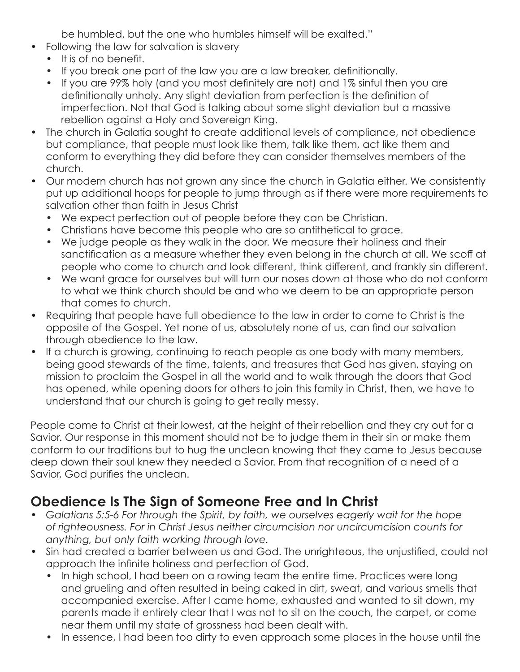be humbled, but the one who humbles himself will be exalted."

- Following the law for salvation is slavery
	- It is of no benefit.
	- If you break one part of the law you are a law breaker, definitionally.
	- If you are 99% holy (and you most definitely are not) and 1% sinful then you are definitionally unholy. Any slight deviation from perfection is the definition of imperfection. Not that God is talking about some slight deviation but a massive rebellion against a Holy and Sovereign King.
- The church in Galatia sought to create additional levels of compliance, not obedience but compliance, that people must look like them, talk like them, act like them and conform to everything they did before they can consider themselves members of the church.
- Our modern church has not grown any since the church in Galatia either. We consistently put up additional hoops for people to jump through as if there were more requirements to salvation other than faith in Jesus Christ
	- We expect perfection out of people before they can be Christian.
	- Christians have become this people who are so antithetical to grace.
	- We judge people as they walk in the door. We measure their holiness and their sanctification as a measure whether they even belong in the church at all. We scoff at people who come to church and look different, think different, and frankly sin different.
	- We want grace for ourselves but will turn our noses down at those who do not conform to what we think church should be and who we deem to be an appropriate person that comes to church.
- Requiring that people have full obedience to the law in order to come to Christ is the opposite of the Gospel. Yet none of us, absolutely none of us, can find our salvation through obedience to the law.
- If a church is growing, continuing to reach people as one body with many members, being good stewards of the time, talents, and treasures that God has given, staying on mission to proclaim the Gospel in all the world and to walk through the doors that God has opened, while opening doors for others to join this family in Christ, then, we have to understand that our church is going to get really messy.

People come to Christ at their lowest, at the height of their rebellion and they cry out for a Savior. Our response in this moment should not be to judge them in their sin or make them conform to our traditions but to hug the unclean knowing that they came to Jesus because deep down their soul knew they needed a Savior. From that recognition of a need of a Savior, God purifies the unclean.

#### **Obedience Is The Sign of Someone Free and In Christ**

- *Galatians 5:5-6 For through the Spirit, by faith, we ourselves eagerly wait for the hope of righteousness. For in Christ Jesus neither circumcision nor uncircumcision counts for anything, but only faith working through love.*
- Sin had created a barrier between us and God. The unrighteous, the unjustified, could not approach the infinite holiness and perfection of God.
	- In high school, I had been on a rowing team the entire time. Practices were long and grueling and often resulted in being caked in dirt, sweat, and various smells that accompanied exercise. After I came home, exhausted and wanted to sit down, my parents made it entirely clear that I was not to sit on the couch, the carpet, or come near them until my state of grossness had been dealt with.
	- In essence, I had been too dirty to even approach some places in the house until the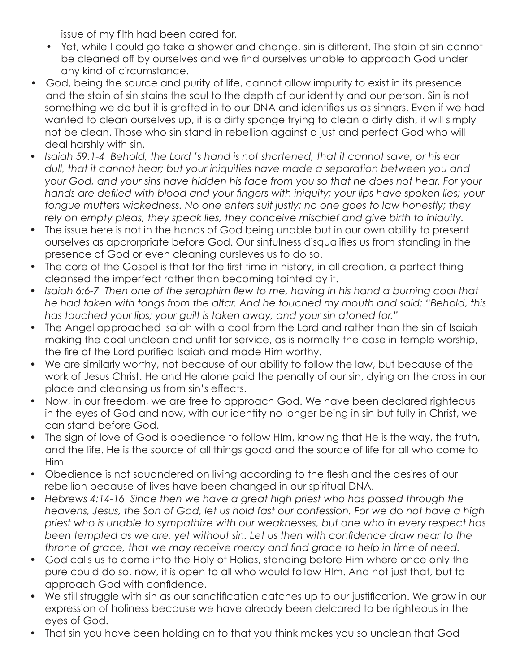issue of my filth had been cared for.

- Yet, while I could go take a shower and change, sin is different. The stain of sin cannot be cleaned off by ourselves and we find ourselves unable to approach God under any kind of circumstance.
- God, being the source and purity of life, cannot allow impurity to exist in its presence and the stain of sin stains the soul to the depth of our identity and our person. Sin is not something we do but it is grafted in to our DNA and identifies us as sinners. Even if we had wanted to clean ourselves up, it is a dirty sponge trying to clean a dirty dish, it will simply not be clean. Those who sin stand in rebellion against a just and perfect God who will deal harshly with sin.
- *Isaiah 59:1-4 Behold, the Lord 's hand is not shortened, that it cannot save, or his ear dull, that it cannot hear; but your iniquities have made a separation between you and your God, and your sins have hidden his face from you so that he does not hear. For your hands are defiled with blood and your fingers with iniquity; your lips have spoken lies; your tongue mutters wickedness. No one enters suit justly; no one goes to law honestly; they rely on empty pleas, they speak lies, they conceive mischief and give birth to iniquity.*
- The issue here is not in the hands of God being unable but in our own ability to present ourselves as approrpriate before God. Our sinfulness disqualifies us from standing in the presence of God or even cleaning oursleves us to do so.
- The core of the Gospel is that for the first time in history, in all creation, a perfect thing cleansed the imperfect rather than becoming tainted by it.
- Isaiah 6:6-7 Then one of the seraphim flew to me, having in his hand a burning coal that *he had taken with tongs from the altar. And he touched my mouth and said: "Behold, this has touched your lips; your guilt is taken away, and your sin atoned for."*
- The Angel approached Isaiah with a coal from the Lord and rather than the sin of Isaiah making the coal unclean and unfit for service, as is normally the case in temple worship, the fire of the Lord purified Isaiah and made Him worthy.
- We are similarly worthy, not because of our ability to follow the law, but because of the work of Jesus Christ. He and He alone paid the penalty of our sin, dying on the cross in our place and cleansing us from sin's effects.
- Now, in our freedom, we are free to approach God. We have been declared righteous in the eyes of God and now, with our identity no longer being in sin but fully in Christ, we can stand before God.
- The sign of love of God is obedience to follow HIm, knowing that He is the way, the truth, and the life. He is the source of all things good and the source of life for all who come to Him.
- Obedience is not squandered on living according to the flesh and the desires of our rebellion because of lives have been changed in our spiritual DNA.
- Hebrews 4:14-16 Since then we have a great high priest who has passed through the *heavens, Jesus, the Son of God, let us hold fast our confession. For we do not have a high priest who is unable to sympathize with our weaknesses, but one who in every respect has been tempted as we are, yet without sin. Let us then with confidence draw near to the throne of grace, that we may receive mercy and find grace to help in time of need.*
- God calls us to come into the Holy of Holies, standing before Him where once only the pure could do so, now, it is open to all who would follow HIm. And not just that, but to approach God with confidence.
- We still struggle with sin as our sanctification catches up to our justification. We grow in our expression of holiness because we have already been delcared to be righteous in the eyes of God.
- That sin you have been holding on to that you think makes you so unclean that God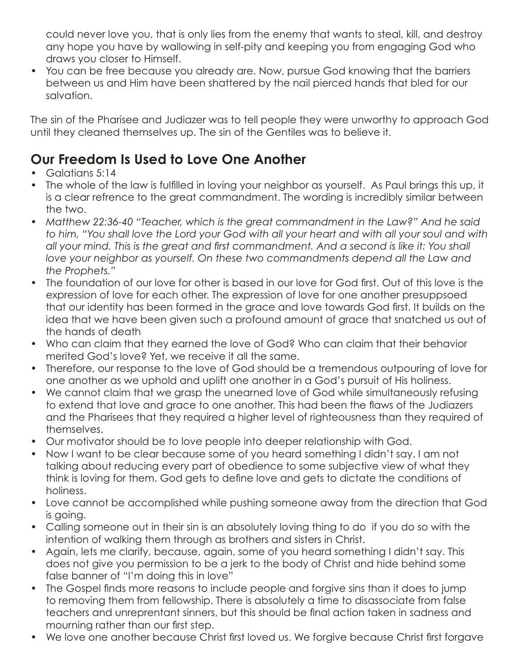could never love you, that is only lies from the enemy that wants to steal, kill, and destroy any hope you have by wallowing in self-pity and keeping you from engaging God who draws you closer to Himself.

• You can be free because you already are. Now, pursue God knowing that the barriers between us and Him have been shattered by the nail pierced hands that bled for our salvation.

The sin of the Pharisee and Judiazer was to tell people they were unworthy to approach God until they cleaned themselves up. The sin of the Gentiles was to believe it.

#### **Our Freedom Is Used to Love One Another**

- Galatians 5:14
- The whole of the law is fulfilled in loving your neighbor as yourself. As Paul brings this up, it is a clear refrence to the great commandment. The wording is incredibly similar between the two.
- *Matthew 22:36-40 "Teacher, which is the great commandment in the Law?" And he said to him, "You shall love the Lord your God with all your heart and with all your soul and with all your mind. This is the great and first commandment. And a second is like it: You shall*  love your neighbor as yourself. On these two commandments depend all the Law and *the Prophets."*
- The foundation of our love for other is based in our love for God first. Out of this love is the expression of love for each other. The expression of love for one another presuppsoed that our identity has been formed in the grace and love towards God first. It builds on the idea that we have been given such a profound amount of grace that snatched us out of the hands of death
- Who can claim that they earned the love of God? Who can claim that their behavior merited God's love? Yet, we receive it all the same.
- Therefore, our response to the love of God should be a tremendous outpouring of love for one another as we uphold and uplift one another in a God's pursuit of His holiness.
- We cannot claim that we grasp the unearned love of God while simultaneously refusing to extend that love and grace to one another. This had been the flaws of the Judiazers and the Pharisees that they required a higher level of righteousness than they required of themselves.
- Our motivator should be to love people into deeper relationship with God.
- Now I want to be clear because some of you heard something I didn't say. I am not talking about reducing every part of obedience to some subjective view of what they think is loving for them. God gets to define love and gets to dictate the conditions of holiness.
- Love cannot be accomplished while pushing someone away from the direction that God is going.
- Calling someone out in their sin is an absolutely loving thing to do if you do so with the intention of walking them through as brothers and sisters in Christ.
- Again, lets me clarify, because, again, some of you heard something I didn't say. This does not give you permission to be a jerk to the body of Christ and hide behind some false banner of "I'm doing this in love"
- The Gospel finds more reasons to include people and forgive sins than it does to jump to removing them from fellowship. There is absolutely a time to disassociate from false teachers and unreprentant sinners, but this should be final action taken in sadness and mourning rather than our first step.
- We love one another because Christ first loved us. We forgive because Christ first forgave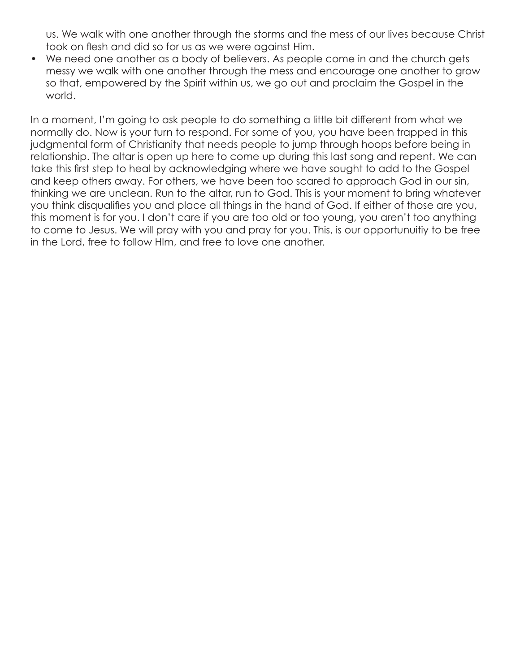us. We walk with one another through the storms and the mess of our lives because Christ took on flesh and did so for us as we were against Him.

• We need one another as a body of believers. As people come in and the church gets messy we walk with one another through the mess and encourage one another to grow so that, empowered by the Spirit within us, we go out and proclaim the Gospel in the world.

In a moment, I'm going to ask people to do something a little bit different from what we normally do. Now is your turn to respond. For some of you, you have been trapped in this judgmental form of Christianity that needs people to jump through hoops before being in relationship. The altar is open up here to come up during this last song and repent. We can take this first step to heal by acknowledging where we have sought to add to the Gospel and keep others away. For others, we have been too scared to approach God in our sin, thinking we are unclean. Run to the altar, run to God. This is your moment to bring whatever you think disqualifies you and place all things in the hand of God. If either of those are you, this moment is for you. I don't care if you are too old or too young, you aren't too anything to come to Jesus. We will pray with you and pray for you. This, is our opportunuitiy to be free in the Lord, free to follow HIm, and free to love one another.